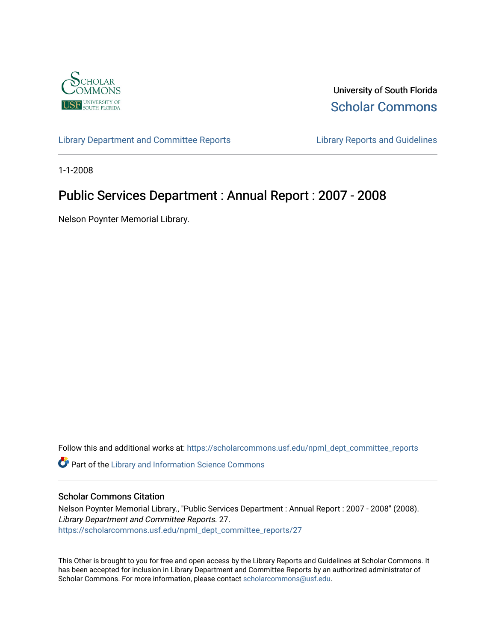

University of South Florida [Scholar Commons](https://scholarcommons.usf.edu/) 

[Library Department and Committee Reports](https://scholarcommons.usf.edu/npml_dept_committee_reports) [Library Reports and Guidelines](https://scholarcommons.usf.edu/npml_reports_guidelines_instruct_materials) 

1-1-2008

# Public Services Department : Annual Report : 2007 - 2008

Nelson Poynter Memorial Library.

Follow this and additional works at: [https://scholarcommons.usf.edu/npml\\_dept\\_committee\\_reports](https://scholarcommons.usf.edu/npml_dept_committee_reports?utm_source=scholarcommons.usf.edu%2Fnpml_dept_committee_reports%2F27&utm_medium=PDF&utm_campaign=PDFCoverPages)

Part of the [Library and Information Science Commons](http://network.bepress.com/hgg/discipline/1018?utm_source=scholarcommons.usf.edu%2Fnpml_dept_committee_reports%2F27&utm_medium=PDF&utm_campaign=PDFCoverPages) 

#### Scholar Commons Citation

Nelson Poynter Memorial Library., "Public Services Department : Annual Report : 2007 - 2008" (2008). Library Department and Committee Reports. 27. [https://scholarcommons.usf.edu/npml\\_dept\\_committee\\_reports/27](https://scholarcommons.usf.edu/npml_dept_committee_reports/27?utm_source=scholarcommons.usf.edu%2Fnpml_dept_committee_reports%2F27&utm_medium=PDF&utm_campaign=PDFCoverPages) 

This Other is brought to you for free and open access by the Library Reports and Guidelines at Scholar Commons. It has been accepted for inclusion in Library Department and Committee Reports by an authorized administrator of Scholar Commons. For more information, please contact [scholarcommons@usf.edu](mailto:scholarcommons@usf.edu).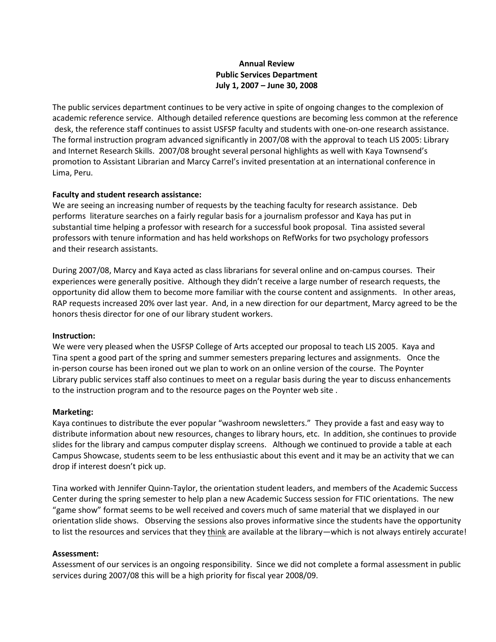#### **Annual Review Public Services Department July 1, 2007 – June 30, 2008**

The public services department continues to be very active in spite of ongoing changes to the complexion of academic reference service. Although detailed reference questions are becoming less common at the reference desk, the reference staff continues to assist USFSP faculty and students with one-on-one research assistance. The formal instruction program advanced significantly in 2007/08 with the approval to teach LIS 2005: Library and Internet Research Skills. 2007/08 brought several personal highlights as well with Kaya Townsend's promotion to Assistant Librarian and Marcy Carrel's invited presentation at an international conference in Lima, Peru.

#### **Faculty and student research assistance:**

We are seeing an increasing number of requests by the teaching faculty for research assistance. Deb performs literature searches on a fairly regular basis for a journalism professor and Kaya has put in substantial time helping a professor with research for a successful book proposal. Tina assisted several professors with tenure information and has held workshops on RefWorks for two psychology professors and their research assistants.

During 2007/08, Marcy and Kaya acted as class librarians for several online and on-campus courses. Their experiences were generally positive. Although they didn't receive a large number of research requests, the opportunity did allow them to become more familiar with the course content and assignments. In other areas, RAP requests increased 20% over last year. And, in a new direction for our department, Marcy agreed to be the honors thesis director for one of our library student workers.

#### **Instruction:**

We were very pleased when the USFSP College of Arts accepted our proposal to teach LIS 2005. Kaya and Tina spent a good part of the spring and summer semesters preparing lectures and assignments. Once the in-person course has been ironed out we plan to work on an online version of the course. The Poynter Library public services staff also continues to meet on a regular basis during the year to discuss enhancements to the instruction program and to the resource pages on the Poynter web site .

#### **Marketing:**

Kaya continues to distribute the ever popular "washroom newsletters." They provide a fast and easy way to distribute information about new resources, changes to library hours, etc. In addition, she continues to provide slides for the library and campus computer display screens. Although we continued to provide a table at each Campus Showcase, students seem to be less enthusiastic about this event and it may be an activity that we can drop if interest doesn't pick up.

Tina worked with Jennifer Quinn-Taylor, the orientation student leaders, and members of the Academic Success Center during the spring semester to help plan a new Academic Success session for FTIC orientations. The new "game show" format seems to be well received and covers much of same material that we displayed in our orientation slide shows. Observing the sessions also proves informative since the students have the opportunity to list the resources and services that they think are available at the library—which is not always entirely accurate!

#### **Assessment:**

Assessment of our services is an ongoing responsibility. Since we did not complete a formal assessment in public services during 2007/08 this will be a high priority for fiscal year 2008/09.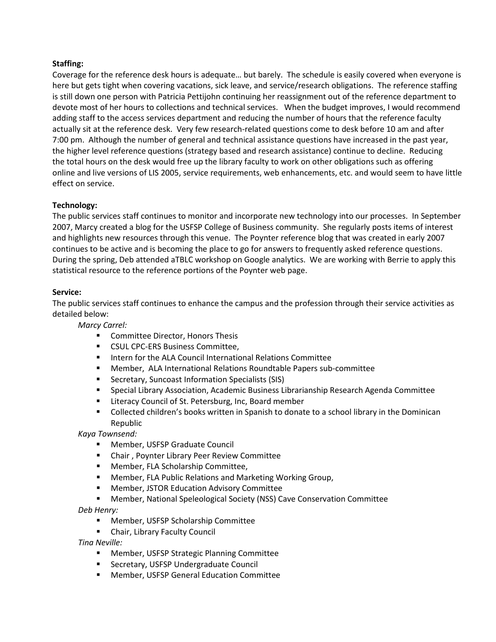#### **Staffing:**

Coverage for the reference desk hours is adequate… but barely. The schedule is easily covered when everyone is here but gets tight when covering vacations, sick leave, and service/research obligations. The reference staffing is still down one person with Patricia Pettijohn continuing her reassignment out of the reference department to devote most of her hours to collections and technical services. When the budget improves, I would recommend adding staff to the access services department and reducing the number of hours that the reference faculty actually sit at the reference desk. Very few research-related questions come to desk before 10 am and after 7:00 pm. Although the number of general and technical assistance questions have increased in the past year, the higher level reference questions (strategy based and research assistance) continue to decline. Reducing the total hours on the desk would free up the library faculty to work on other obligations such as offering online and live versions of LIS 2005, service requirements, web enhancements, etc. and would seem to have little effect on service.

#### **Technology:**

The public services staff continues to monitor and incorporate new technology into our processes. In September 2007, Marcy created a blog for the USFSP College of Business community. She regularly posts items of interest and highlights new resources through this venue. The Poynter reference blog that was created in early 2007 continues to be active and is becoming the place to go for answers to frequently asked reference questions. During the spring, Deb attended aTBLC workshop on Google analytics. We are working with Berrie to apply this statistical resource to the reference portions of the Poynter web page.

#### **Service:**

The public services staff continues to enhance the campus and the profession through their service activities as detailed below:

*Marcy Carrel:*

- **EXECOMMITTEE Director, Honors Thesis**
- **EXECUTE CONTERS Business Committee.**
- Intern for the ALA Council International Relations Committee
- Member, ALA International Relations Roundtable Papers sub-committee
- Secretary, Suncoast Information Specialists (SIS)
- Special Library Association, Academic Business Librarianship Research Agenda Committee
- Literacy Council of St. Petersburg, Inc, Board member
- **Collected children's books written in Spanish to donate to a school library in the Dominican** Republic

*Kaya Townsend:*

- Member, USFSP Graduate Council
- Chair , Poynter Library Peer Review Committee
- Member, FLA Scholarship Committee,
- Member, FLA Public Relations and Marketing Working Group,
- Member, JSTOR Education Advisory Committee
- Member, National Speleological Society (NSS) Cave Conservation Committee

*Deb Henry:*

- Member, USFSP Scholarship Committee
- **E** Chair, Library Faculty Council

*Tina Neville:*

- **Member, USFSP Strategic Planning Committee**
- **Secretary, USFSP Undergraduate Council**
- Member, USFSP General Education Committee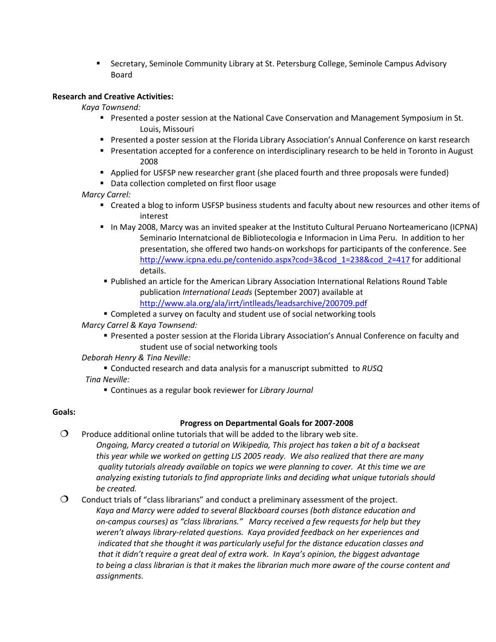Secretary, Seminole Community Library at St. Petersburg College, Seminole Campus Advisory Board

#### **Research and Creative Activities:**

*Kaya Townsend:*

- Presented a poster session at the National Cave Conservation and Management Symposium in St. Louis, Missouri
- Presented a poster session at the Florida Library Association's Annual Conference on karst research
- **Presentation accepted for a conference on interdisciplinary research to be held in Toronto in August** 2008
- Applied for USFSP new researcher grant (she placed fourth and three proposals were funded)
- Data collection completed on first floor usage

### *Marcy Carrel:*

- Created a blog to inform USFSP business students and faculty about new resources and other items of interest
- In May 2008, Marcy was an invited speaker at the Instituto Cultural Peruano Norteamericano (ICPNA) Seminario Internatcional de Bibliotecologia e Informacion in Lima Peru. In addition to her presentation, she offered two hands-on workshops for participants of the conference. See [http://www.icpna.edu.pe/contenido.aspx?cod=3&cod\\_1=238&cod\\_2=417](http://www.icpna.edu.pe/contenido.aspx?cod=3&cod_1=238&cod_2=417) for additional details.
- Published an article for the American Library Association International Relations Round Table publication *International Leads* (September 2007) available at <http://www.ala.org/ala/irrt/intlleads/leadsarchive/200709.pdf>
- Completed a survey on faculty and student use of social networking tools

*Marcy Carrel & Kaya Townsend:*

- Presented a poster session at the Florida Library Association's Annual Conference on faculty and student use of social networking tools
- *Deborah Henry & Tina Neville:*
- Conducted research and data analysis for a manuscript submitted to *RUSQ Tina Neville:*
	- Continues as a regular book reviewer for *Library Journal*

### **Goals:**

### **Progress on Departmental Goals for 2007-2008**

- $\Omega$  Produce additional online tutorials that will be added to the library web site. *Ongoing, Marcy created a tutorial on Wikipedia, This project has taken a bit of a backseat this year while we worked on getting LIS 2005 ready. We also realized that there are many quality tutorials already available on topics we were planning to cover. At this time we are analyzing existing tutorials to find appropriate links and deciding what unique tutorials should be created.*
- Conduct trials of "class librarians" and conduct a preliminary assessment of the project. *Kaya and Marcy were added to several Blackboard courses (both distance education and on-campus courses) as "class librarians." Marcy received a few requests for help but they weren't always library-related questions. Kaya provided feedback on her experiences and indicated that she thought it was particularly useful for the distance education classes and that it didn't require a great deal of extra work. In Kaya's opinion, the biggest advantage to being a class librarian is that it makes the librarian much more aware of the course content and assignments.*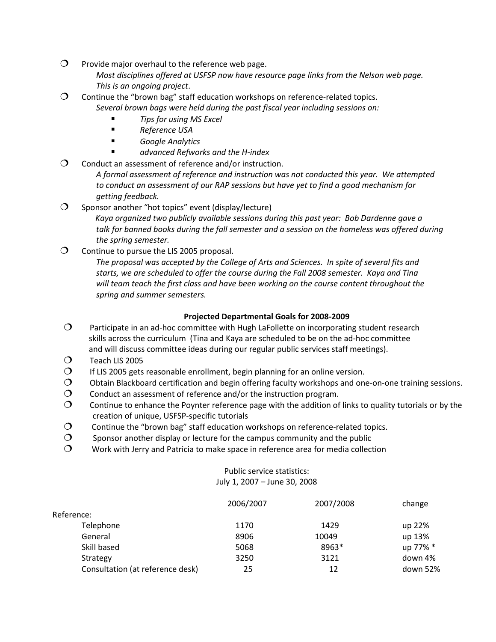- $O$  Provide major overhaul to the reference web page. *Most disciplines offered at USFSP now have resource page links from the Nelson web page. This is an ongoing project*.
- Continue the "brown bag" staff education workshops on reference-related topics. *Several brown bags were held during the past fiscal year including sessions on:*
	- *Tips for using MS Excel*
	- *Reference USA*
	- *Google Analytics*
	- *advanced Refworks and the H-index*
- $\Omega$  Conduct an assessment of reference and/or instruction.

*A formal assessment of reference and instruction was not conducted this year. We attempted to conduct an assessment of our RAP sessions but have yet to find a good mechanism for getting feedback.*

 $\Omega$  Sponsor another "hot topics" event (display/lecture) *Kaya organized two publicly available sessions during this past year: Bob Dardenne gave a talk for banned books during the fall semester and a session on the homeless was offered during the spring semester.*

 $\overline{O}$  Continue to pursue the LIS 2005 proposal.

*The proposal was accepted by the College of Arts and Sciences. In spite of several fits and starts, we are scheduled to offer the course during the Fall 2008 semester. Kaya and Tina will team teach the first class and have been working on the course content throughout the spring and summer semesters.*

## **Projected Departmental Goals for 2008-2009**

- $\Omega$  Participate in an ad-hoc committee with Hugh LaFollette on incorporating student research skills across the curriculum (Tina and Kaya are scheduled to be on the ad-hoc committee and will discuss committee ideas during our regular public services staff meetings).
- Teach LIS 2005
- $O$  If LIS 2005 gets reasonable enrollment, begin planning for an online version.
- $\circ$  Obtain Blackboard certification and begin offering faculty workshops and one-on-one training sessions.
- $\mathcal{O}$  Conduct an assessment of reference and/or the instruction program.
- $\circ$  Continue to enhance the Poynter reference page with the addition of links to quality tutorials or by the creation of unique, USFSP-specific tutorials
- $\mathcal{O}$  Continue the "brown bag" staff education workshops on reference-related topics.
- $\mathcal{O}$  Sponsor another display or lecture for the campus community and the public
- $\Omega$  Work with Jerry and Patricia to make space in reference area for media collection

#### Public service statistics: July 1, 2007 – June 30, 2008

|                                  | 2006/2007 | 2007/2008 | change   |
|----------------------------------|-----------|-----------|----------|
| Reference:                       |           |           |          |
| Telephone                        | 1170      | 1429      | up 22%   |
| General                          | 8906      | 10049     | up 13%   |
| Skill based                      | 5068      | 8963*     | up 77% * |
| Strategy                         | 3250      | 3121      | down 4%  |
| Consultation (at reference desk) | 25        | 12        | down 52% |
|                                  |           |           |          |